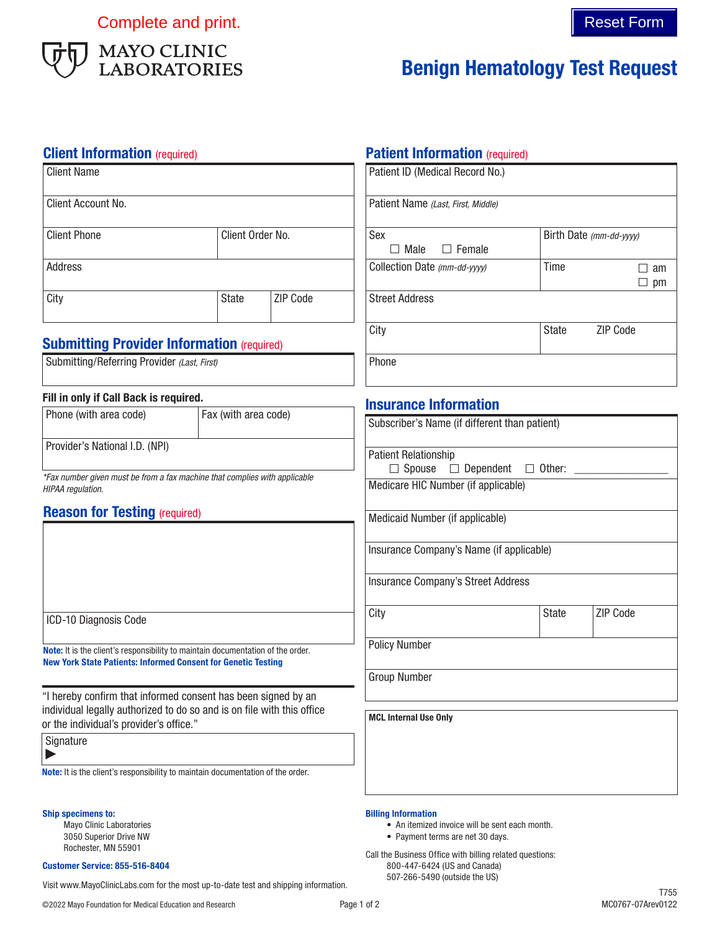Complete and print. Complete and print.



# Benign Hematology Test Request

## **Client Information** (required)

| <b>Client Name</b>  |                  |                 |
|---------------------|------------------|-----------------|
| Client Account No.  |                  |                 |
| <b>Client Phone</b> | Client Order No. |                 |
| Address             |                  |                 |
| City                | State            | <b>ZIP Code</b> |

# **Submitting Provider Information (required)**

| Submitting/Referring Provider (Last, First) |  |  |  |
|---------------------------------------------|--|--|--|
|---------------------------------------------|--|--|--|

### Fill in only if Call Back is required.

| Phone (with area code)         | Fax (with area code) |
|--------------------------------|----------------------|
| Provider's National I.D. (NPI) |                      |

*\*Fax number given must be from a fax machine that complies with applicable HIPAA regulation.*

# **Reason for Testing (required)**

|  | ICD-10 Diagnosis Code |  |
|--|-----------------------|--|
|--|-----------------------|--|

Note: It is the client's responsibility to maintain documentation of the order. New York State Patients: Informed Consent for Genetic Testing

"I hereby confirm that informed consent has been signed by an individual legally authorized to do so and is on file with this office or the individual's provider's office."

| Signature |  |
|-----------|--|
|-----------|--|

 $\blacktriangleright$ 

Note: It is the client's responsibility to maintain documentation of the order.

#### Ship specimens to:

Mayo Clinic Laboratories 3050 Superior Drive NW Rochester, MN 55901

#### Customer Service: 855-516-8404

507-266-5490 (outside the US) Visit www.MayoClinicLabs.com for the most up-to-date test and shipping information.

# **Patient Information** (required)

| Patient ID (Medical Record No.)    |                         |                 |
|------------------------------------|-------------------------|-----------------|
| Patient Name (Last, First, Middle) |                         |                 |
| Sex                                | Birth Date (mm-dd-vyyy) |                 |
| $\Box$ Female<br>Male              |                         |                 |
| Collection Date (mm-dd-yyyy)       | Time                    | am              |
|                                    |                         | pm              |
| <b>Street Address</b>              |                         |                 |
| City                               | <b>State</b>            | <b>ZIP Code</b> |
| Phone                              |                         |                 |

## Insurance Information

| Subscriber's Name (if different than patient) |               |          |
|-----------------------------------------------|---------------|----------|
| <b>Patient Relationship</b>                   |               |          |
| Spouse $\Box$ Dependent                       | $\Box$ Other: |          |
| Medicare HIC Number (if applicable)           |               |          |
| Medicaid Number (if applicable)               |               |          |
| Insurance Company's Name (if applicable)      |               |          |
| <b>Insurance Company's Street Address</b>     |               |          |
| City                                          | <b>State</b>  | ZIP Code |
| <b>Policy Number</b>                          |               |          |
| <b>Group Number</b>                           |               |          |
| <b>MCL Internal Use Only</b>                  |               |          |
|                                               |               |          |

#### Billing Information

- An itemized invoice will be sent each month.
- Payment terms are net 30 days.

Call the Business Office with billing related questions: 800-447-6424 (US and Canada)